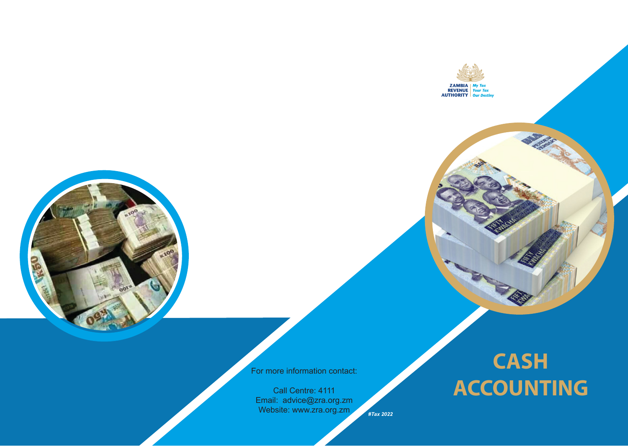

For more information contact:

Call Centre: 4111 Email: advice@zra.org.zm Website: www.zra.org.zm

*#Tax 2022*

# **CASH ACCOUNTING**

**ZAMBIA**<br>REVENUE Your Tax<br>AUTHORITY Our Destiny